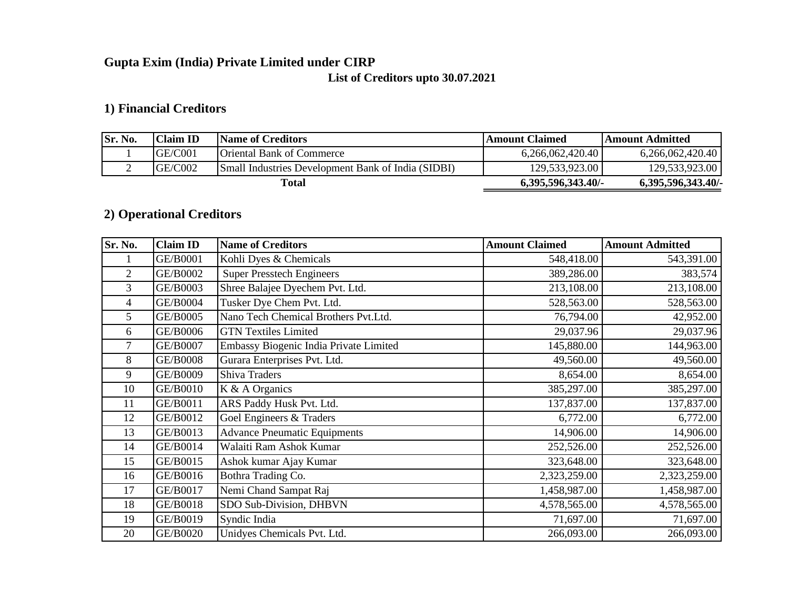# **Gupta Exim (India) Private Limited under CIRP**

# **List of Creditors upto 30.07.2021**

# **1) Financial Creditors**

| Sr. No. | Claim ID | Name of Creditors                                  | Amount Claimed     | Amount Admitted    |
|---------|----------|----------------------------------------------------|--------------------|--------------------|
|         | GE/CO01  | <b>Oriental Bank of Commerce</b>                   | 6,266,062,420.40   | 6,266,062,420.40   |
|         | GE/C002  | Small Industries Development Bank of India (SIDBI) | 129,533,923.00     | 129,533,923.00     |
|         |          | Total                                              | 6,395,596,343.40/- | 6,395,596,343.40/- |

# **2) Operational Creditors**

| Sr. No.        | <b>Claim ID</b> | <b>Name of Creditors</b>               | <b>Amount Claimed</b> | <b>Amount Admitted</b> |
|----------------|-----------------|----------------------------------------|-----------------------|------------------------|
|                | GE/B0001        | Kohli Dyes & Chemicals                 | 548,418.00            | 543,391.00             |
| $\overline{2}$ | GE/B0002        | <b>Super Presstech Engineers</b>       | 389,286.00            | 383,574                |
| 3              | GE/B0003        | Shree Balajee Dyechem Pvt. Ltd.        | 213,108.00            | 213,108.00             |
| 4              | <b>GE/B0004</b> | Tusker Dye Chem Pvt. Ltd.              | 528,563.00            | 528,563.00             |
| 5              | GE/B0005        | Nano Tech Chemical Brothers Pvt.Ltd.   | 76,794.00             | 42,952.00              |
| 6              | GE/B0006        | <b>GTN Textiles Limited</b>            | 29,037.96             | 29,037.96              |
| 7              | GE/B0007        | Embassy Biogenic India Private Limited | 145,880.00            | 144,963.00             |
| 8              | <b>GE/B0008</b> | Gurara Enterprises Pvt. Ltd.           | 49,560.00             | 49,560.00              |
| 9              | GE/B0009        | Shiva Traders                          | 8,654.00              | 8,654.00               |
| 10             | GE/B0010        | K & A Organics                         | 385,297.00            | 385,297.00             |
| 11             | GE/B0011        | ARS Paddy Husk Pvt. Ltd.               | 137,837.00            | 137,837.00             |
| 12             | GE/B0012        | Goel Engineers & Traders               | 6,772.00              | 6,772.00               |
| 13             | GE/B0013        | <b>Advance Pneumatic Equipments</b>    | 14,906.00             | 14,906.00              |
| 14             | GE/B0014        | Walaiti Ram Ashok Kumar                | 252,526.00            | 252,526.00             |
| 15             | GE/B0015        | Ashok kumar Ajay Kumar                 | 323,648.00            | 323,648.00             |
| 16             | GE/B0016        | Bothra Trading Co.                     | 2,323,259.00          | 2,323,259.00           |
| 17             | GE/B0017        | Nemi Chand Sampat Raj                  | 1,458,987.00          | 1,458,987.00           |
| 18             | GE/B0018        | SDO Sub-Division, DHBVN                | 4,578,565.00          | 4,578,565.00           |
| 19             | GE/B0019        | Syndic India                           | 71,697.00             | 71,697.00              |
| 20             | GE/B0020        | Unidyes Chemicals Pvt. Ltd.            | 266,093.00            | 266,093.00             |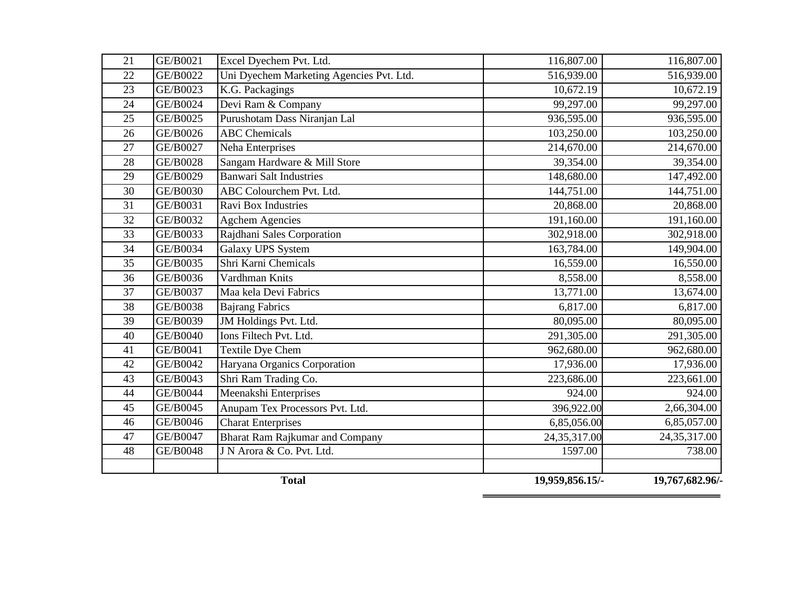|          |                      | <b>Total</b>                                           | 19,959,856.15/-         | 19,767,682.96/-         |
|----------|----------------------|--------------------------------------------------------|-------------------------|-------------------------|
|          |                      |                                                        |                         |                         |
| 48       | <b>GE/B0048</b>      | J N Arora & Co. Pvt. Ltd.                              | 1597.00                 | 738.00                  |
| 47       | GE/B0047             | <b>Bharat Ram Rajkumar and Company</b>                 | 24,35,317.00            | 24, 35, 317.00          |
| 46       | GE/B0046             | <b>Charat Enterprises</b>                              | 6,85,056.00             | 6,85,057.00             |
| 45       | GE/B0045             | Anupam Tex Processors Pvt. Ltd.                        | 396,922.00              | 2,66,304.00             |
| 44       | GE/B0044             | Meenakshi Enterprises                                  | 924.00                  | 924.00                  |
| 43       | GE/B0043             | Shri Ram Trading Co.                                   | 223,686.00              | 223,661.00              |
| 41<br>42 | GE/B0041<br>GE/B0042 | Textile Dye Chem<br>Haryana Organics Corporation       | 962,680.00<br>17,936.00 | 962,680.00<br>17,936.00 |
|          |                      |                                                        |                         | 291,305.00              |
| 40       | GE/B0040             | <b>JM</b> Holdings Pvt. Ltd.<br>Ions Filtech Pvt. Ltd. | 291,305.00              | 80,095.00               |
| 39       | GE/B0039             | <b>Bajrang Fabrics</b>                                 | 80,095.00               |                         |
| 38       | GE/B0038             |                                                        | 6,817.00                | 13,674.00<br>6,817.00   |
| 37       | GE/B0037             | Maa kela Devi Fabrics                                  | 8,558.00<br>13,771.00   | 8,558.00                |
| 35<br>36 | GE/B0035<br>GE/B0036 | Shri Karni Chemicals<br>Vardhman Knits                 | 16,559.00               | 16,550.00               |
| 34       | GE/B0034             | Galaxy UPS System                                      | 163,784.00              | 149,904.00              |
| 33       | GE/B0033             | Rajdhani Sales Corporation                             | 302,918.00              | 302,918.00              |
| 32       | GE/B0032             | <b>Agchem Agencies</b>                                 | 191,160.00              | 191,160.00              |
| 31       | GE/B0031             | Ravi Box Industries                                    | 20,868.00               | 20,868.00               |
| 30       | GE/B0030             | ABC Colourchem Pvt. Ltd.                               | 144,751.00              | 144,751.00              |
| 29       | GE/B0029             | <b>Banwari Salt Industries</b>                         | 148,680.00              | 147,492.00              |
| 28       | GE/B0028             | Sangam Hardware & Mill Store                           | 39,354.00               | 39,354.00               |
| 27       | GE/B0027             | Neha Enterprises                                       | 214,670.00              | 214,670.00              |
| 26       | GE/B0026             | <b>ABC</b> Chemicals                                   | 103,250.00              | 103,250.00              |
| 25       | GE/B0025             | Purushotam Dass Niranjan Lal                           | 936,595.00              | 936,595.00              |
| 24       | GE/B0024             | Devi Ram & Company                                     | 99,297.00               | 99,297.00               |
| 23       | GE/B0023             | K.G. Packagings                                        | 10,672.19               | 10,672.19               |
| 22       | GE/B0022             | Uni Dyechem Marketing Agencies Pvt. Ltd.               | 516,939.00              | 516,939.00              |
| 21       | GE/B0021             | Excel Dyechem Pvt. Ltd.                                | 116,807.00              | 116,807.00              |